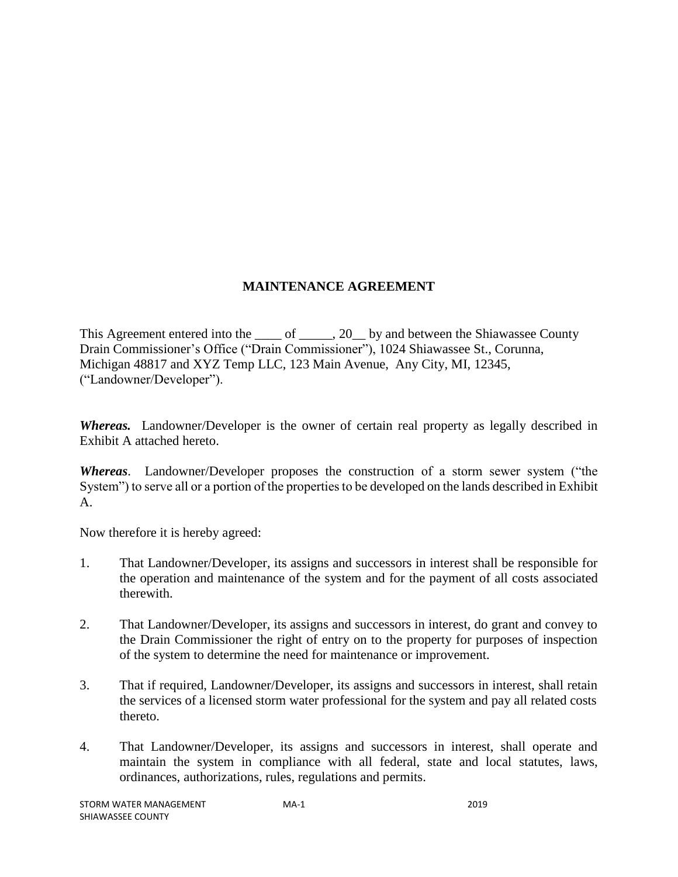# **MAINTENANCE AGREEMENT**

This Agreement entered into the \_\_\_\_ of \_\_\_\_\_, 20 \_\_ by and between the Shiawassee County Drain Commissioner's Office ("Drain Commissioner"), 1024 Shiawassee St., Corunna, Michigan 48817 and XYZ Temp LLC, 123 Main Avenue, Any City, MI, 12345, ("Landowner/Developer").

*Whereas.* Landowner/Developer is the owner of certain real property as legally described in Exhibit A attached hereto.

*Whereas*. Landowner/Developer proposes the construction of a storm sewer system ("the System") to serve all or a portion of the properties to be developed on the lands described in Exhibit A.

Now therefore it is hereby agreed:

- 1. That Landowner/Developer, its assigns and successors in interest shall be responsible for the operation and maintenance of the system and for the payment of all costs associated therewith.
- 2. That Landowner/Developer, its assigns and successors in interest, do grant and convey to the Drain Commissioner the right of entry on to the property for purposes of inspection of the system to determine the need for maintenance or improvement.
- 3. That if required, Landowner/Developer, its assigns and successors in interest, shall retain the services of a licensed storm water professional for the system and pay all related costs thereto.
- 4. That Landowner/Developer, its assigns and successors in interest, shall operate and maintain the system in compliance with all federal, state and local statutes, laws, ordinances, authorizations, rules, regulations and permits.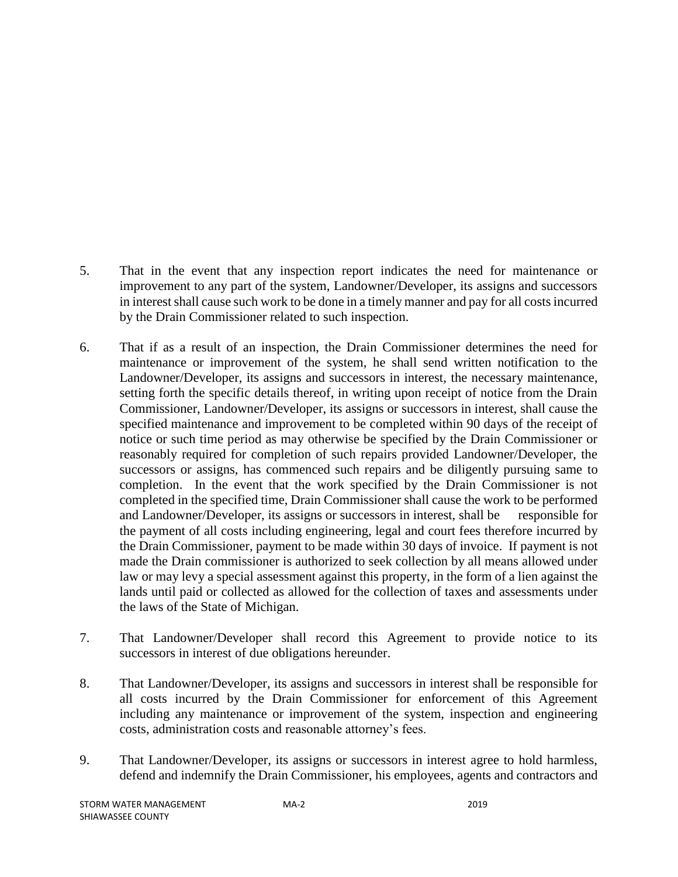- 5. That in the event that any inspection report indicates the need for maintenance or improvement to any part of the system, Landowner/Developer, its assigns and successors in interest shall cause such work to be done in a timely manner and pay for all costs incurred by the Drain Commissioner related to such inspection.
- 6. That if as a result of an inspection, the Drain Commissioner determines the need for maintenance or improvement of the system, he shall send written notification to the Landowner/Developer, its assigns and successors in interest, the necessary maintenance, setting forth the specific details thereof, in writing upon receipt of notice from the Drain Commissioner, Landowner/Developer, its assigns or successors in interest, shall cause the specified maintenance and improvement to be completed within 90 days of the receipt of notice or such time period as may otherwise be specified by the Drain Commissioner or reasonably required for completion of such repairs provided Landowner/Developer, the successors or assigns, has commenced such repairs and be diligently pursuing same to completion. In the event that the work specified by the Drain Commissioner is not completed in the specified time, Drain Commissioner shall cause the work to be performed and Landowner/Developer, its assigns or successors in interest, shall be responsible for the payment of all costs including engineering, legal and court fees therefore incurred by the Drain Commissioner, payment to be made within 30 days of invoice. If payment is not made the Drain commissioner is authorized to seek collection by all means allowed under law or may levy a special assessment against this property, in the form of a lien against the lands until paid or collected as allowed for the collection of taxes and assessments under the laws of the State of Michigan.
- 7. That Landowner/Developer shall record this Agreement to provide notice to its successors in interest of due obligations hereunder.
- 8. That Landowner/Developer, its assigns and successors in interest shall be responsible for all costs incurred by the Drain Commissioner for enforcement of this Agreement including any maintenance or improvement of the system, inspection and engineering costs, administration costs and reasonable attorney's fees.
- 9. That Landowner/Developer, its assigns or successors in interest agree to hold harmless, defend and indemnify the Drain Commissioner, his employees, agents and contractors and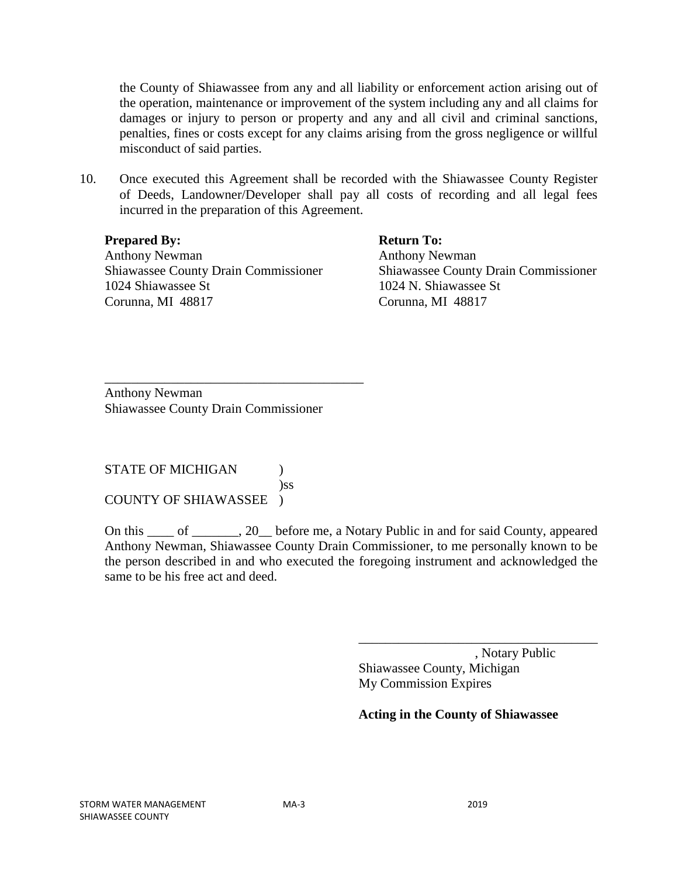the County of Shiawassee from any and all liability or enforcement action arising out of the operation, maintenance or improvement of the system including any and all claims for damages or injury to person or property and any and all civil and criminal sanctions, penalties, fines or costs except for any claims arising from the gross negligence or willful misconduct of said parties.

10. Once executed this Agreement shall be recorded with the Shiawassee County Register of Deeds, Landowner/Developer shall pay all costs of recording and all legal fees incurred in the preparation of this Agreement.

#### **Prepared By:** Return To:

Anthony Newman **Anthony Newman** 1024 Shiawassee St 1024 N. Shiawassee St Corunna, MI 48817 Corunna, MI 48817

Shiawassee County Drain Commissioner Shiawassee County Drain Commissioner

Anthony Newman Shiawassee County Drain Commissioner

\_\_\_\_\_\_\_\_\_\_\_\_\_\_\_\_\_\_\_\_\_\_\_\_\_\_\_\_\_\_\_\_\_\_\_\_\_\_\_

STATE OF MICHIGAN  $\qquad$  ) )ss COUNTY OF SHIAWASSEE )

On this \_\_\_\_ of \_\_\_\_\_\_\_, 20\_\_ before me, a Notary Public in and for said County, appeared Anthony Newman, Shiawassee County Drain Commissioner, to me personally known to be the person described in and who executed the foregoing instrument and acknowledged the same to be his free act and deed.

> , Notary Public Shiawassee County, Michigan My Commission Expires

\_\_\_\_\_\_\_\_\_\_\_\_\_\_\_\_\_\_\_\_\_\_\_\_\_\_\_\_\_\_\_\_\_\_\_\_

### **Acting in the County of Shiawassee**